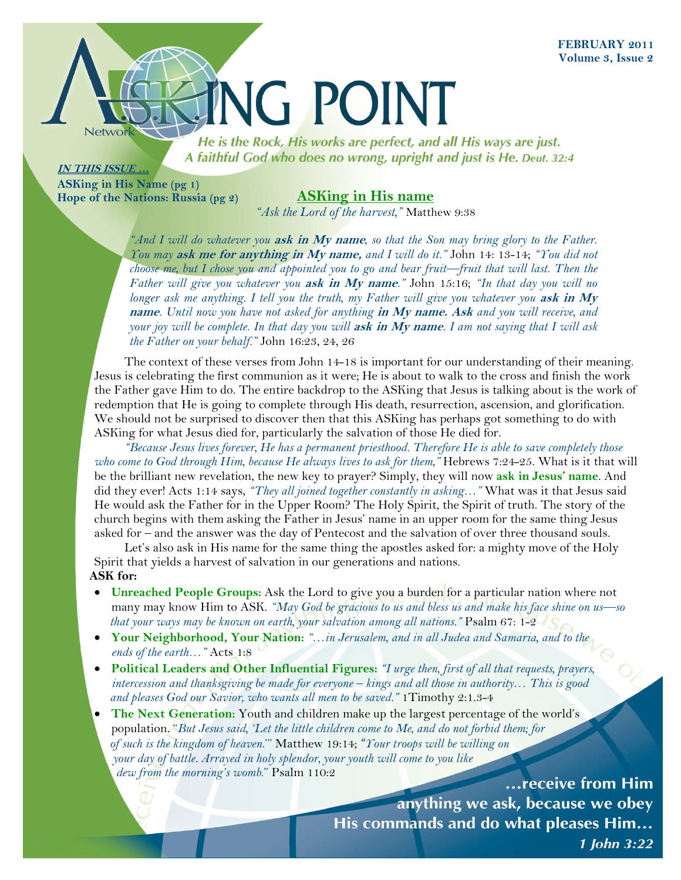

He is the Rock, His works are perfect, and all His ways are just. A faithful God who does no wrong, upright and just is He. Deut. 32:4

## **IN THIS ISSUE …**

**ASKing in His Name (pg 1) Hope of the Nations: Russia (pg 2)**

## **ASKing in His name**

*"Ask the Lord of the harvest,"* Matthew 9:38

*"And I will do whatever you* **ask in My name***, so that the Son may bring glory to the Father. You may* **ask me for anything in My name,** *and I will do it."* John 14: 1314; *"You did not choose me, but I chose you and appointed you to go and bear fruit—fruit that will last. Then the Father will give you whatever you* **ask in My name***."* John 15:16; *"In that day you will no longer ask me anything. I tell you the truth, my Father will give you whatever you ask in My* **name***. Until now you have not asked for anything* **in My name. Ask** *and you will receive, and your joy will be complete. In that day you will* **ask in My name***. I am not saying that I will ask the Father on your behalf."* John 16:23, 24, 26

The context of these verses from John 14-18 is important for our understanding of their meaning. Jesus is celebrating the first communion as it were; He is about to walk to the cross and finish the work the Father gave Him to do. The entire backdrop to the ASKing that Jesus is talking about is the work of redemption that He is going to complete through His death, resurrection, ascension, and glorification. We should not be surprised to discover then that this ASKing has perhaps got something to do with ASKing for what Jesus died for, particularly the salvation of those He died for.

*"Because Jesus lives forever, He has a permanent priesthood. Therefore He is able to save completely those who come to God through Him, because He always lives to ask for them,*" Hebrews 7:24-25. What is it that will be the brilliant new revelation, the new key to prayer? Simply, they will now **ask in Jesus' name**. And did they ever! Acts 1:14 says, *"They all joined together constantly in asking…"* What was it that Jesus said He would ask the Father for in the Upper Room? The Holy Spirit, the Spirit of truth. The story of the church begins with them asking the Father in Jesus' name in an upper room for the same thing Jesus asked for – and the answer was the day of Pentecost and the salvation of over three thousand souls.

Let's also ask in His name for the same thing the apostles asked for: a mighty move of the Holy Spirit that yields a harvest of salvation in our generations and nations. **ASK for:**

- **Unreached People Groups:** Ask the Lord to give you a burden for a particular nation where not many may know Him to ASK. *"May God be gracious to us and bless us and make his face shine on us—so that your ways may be known on earth, your salvation among all nations.*" Psalm 67: 1-2
- **Your Neighborhood, Your Nation:** *"…in Jerusalem, and in all Judea and Samaria, and to the*  *ends of the earth…"* Acts 1:8
- **Political Leaders and Other Influential Figures:** *"I urge then, first of all that requests, prayers,*  *intercession and thanksgiving be made for everyone – kings and all those in authority… This is good*  and pleases God our Savior, who wants all men to be saved." 1 Timothy 2:1.3-4
- **The Next Generation:** Youth and children make up the largest percentage of the world's population. "*But Jesus said, 'Let the little children come to Me, and do not forbid them; for of such is the kingdom of heaven*.'" Matthew 19:14; *"Your troops will be willing on your day of battle. Arrayed in holy splendor, your youth will come to you like dew from the morning's womb*." Psalm 110:2

...receive from Him anything we ask, because we obey His commands and do what pleases Him... 1 John 3:22